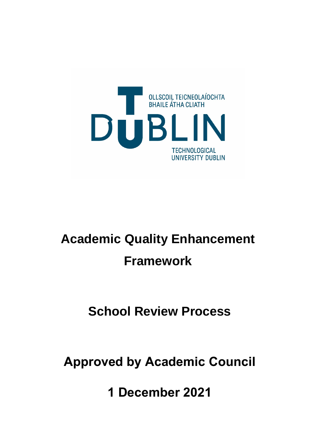

# **Academic Quality Enhancement Framework**

## **School Review Process**

**Approved by Academic Council**

**1 December 2021**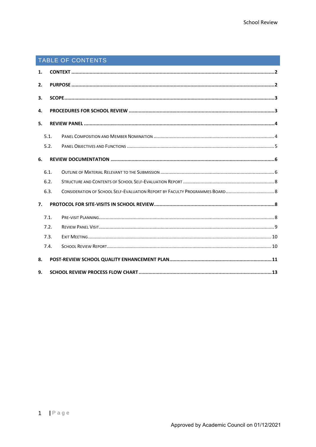### TABLE OF CONTENTS

| 1. |      |  |  |  |
|----|------|--|--|--|
| 2. |      |  |  |  |
| 3. |      |  |  |  |
|    | 4.   |  |  |  |
|    | 5.   |  |  |  |
|    | 5.1. |  |  |  |
|    | 5.2. |  |  |  |
| 6. |      |  |  |  |
|    | 6.1. |  |  |  |
|    | 6.2. |  |  |  |
|    | 6.3. |  |  |  |
| 7. |      |  |  |  |
|    | 7.1. |  |  |  |
|    | 7.2. |  |  |  |
|    | 7.3. |  |  |  |
|    | 7.4. |  |  |  |
| 8. |      |  |  |  |
| 9. |      |  |  |  |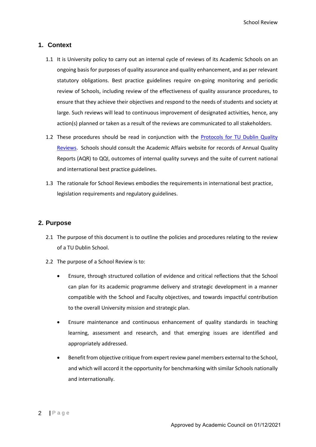#### <span id="page-2-0"></span>**1. Context**

- 1.1 It is University policy to carry out an internal cycle of reviews of its Academic Schools on an ongoing basis for purposes of quality assurance and quality enhancement, and as per relevant statutory obligations. Best practice guidelines require on-going monitoring and periodic review of Schools, including review of the effectiveness of quality assurance procedures, to ensure that they achieve their objectives and respond to the needs of students and society at large. Such reviews will lead to continuous improvement of designated activities, hence, any action(s) planned or taken as a result of the reviews are communicated to all stakeholders.
- 1.2 These procedures should be read in conjunction with the Protocols for TU Dublin Quality Reviews. Schools should consult the Academic Affairs website for records of Annual Quality Reports (AQR) to QQI, outcomes of internal quality surveys and the suite of current national and international best practice guidelines.
- 1.3 The rationale for School Reviews embodies the requirements in international best practice, legislation requirements and regulatory guidelines.

#### <span id="page-2-1"></span>**2. Purpose**

- 2.1 The purpose of this document is to outline the policies and procedures relating to the review of a TU Dublin School.
- 2.2 The purpose of a School Review is to:
	- Ensure, through structured collation of evidence and critical reflections that the School can plan for its academic programme delivery and strategic development in a manner compatible with the School and Faculty objectives, and towards impactful contribution to the overall University mission and strategic plan.
	- Ensure maintenance and continuous enhancement of quality standards in teaching learning, assessment and research, and that emerging issues are identified and appropriately addressed.
	- Benefit from objective critique from expert review panel members external to the School, and which will accord it the opportunity for benchmarking with similar Schools nationally and internationally.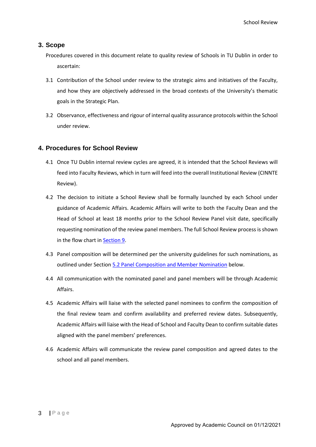#### <span id="page-3-0"></span>**3. Scope**

Procedures covered in this document relate to quality review of Schools in TU Dublin in order to ascertain:

- 3.1 Contribution of the School under review to the strategic aims and initiatives of the Faculty, and how they are objectively addressed in the broad contexts of the University's thematic goals in the Strategic Plan.
- 3.2 Observance, effectiveness and rigour of internal quality assurance protocols within the School under review.

#### <span id="page-3-1"></span>**4. Procedures for School Review**

- 4.1 Once TU Dublin internal review cycles are agreed, it is intended that the School Reviews will feed into Faculty Reviews, which in turn will feed into the overall Institutional Review (CINNTE Review).
- 4.2 The decision to initiate a School Review shall be formally launched by each School under guidance of Academic Affairs. Academic Affairs will write to both the Faculty Dean and the Head of School at least 18 months prior to the School Review Panel visit date, specifically requesting nomination of the review panel members. The full School Review process is shown in the flow chart in [Section 9.](#page-13-0)
- 4.3 Panel composition will be determined per the university guidelines for such nominations, as outlined under Section [5.2 Panel Composition and Member Nomination](#page-4-1) below.
- 4.4 All communication with the nominated panel and panel members will be through Academic Affairs.
- 4.5 Academic Affairs will liaise with the selected panel nominees to confirm the composition of the final review team and confirm availability and preferred review dates. Subsequently, Academic Affairs will liaise with the Head of School and Faculty Dean to confirm suitable dates aligned with the panel members' preferences.
- 4.6 Academic Affairs will communicate the review panel composition and agreed dates to the school and all panel members.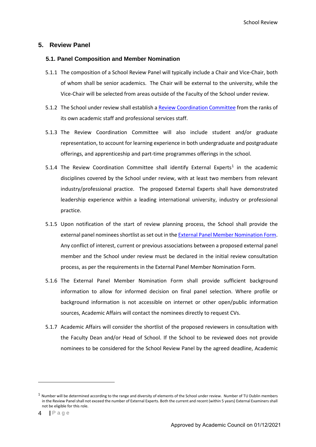#### <span id="page-4-0"></span>**5. Review Panel**

#### <span id="page-4-1"></span>**5.1. Panel Composition and Member Nomination**

- 5.1.1 The composition of a School Review Panel will typically include a Chair and Vice-Chair, both of whom shall be senior academics. The Chair will be external to the university, while the Vice-Chair will be selected from areas outside of the Faculty of the School under review.
- 5.1.2 The School under review shall establish a Review Coordination Committee from the ranks of its own academic staff and professional services staff.
- 5.1.3 The Review Coordination Committee will also include student and/or graduate representation, to account for learning experience in both undergraduate and postgraduate offerings, and apprenticeship and part-time programmes offerings in the school.
- 5.[1](#page-4-2).4 The Review Coordination Committee shall identify External Experts<sup>1</sup> in the academic disciplines covered by the School under review, with at least two members from relevant industry/professional practice. The proposed External Experts shall have demonstrated leadership experience within a leading international university, industry or professional practice.
- 5.1.5 Upon notification of the start of review planning process, the School shall provide the external panel nominees shortlist as set out in the External Panel Member Nomination Form. Any conflict of interest, current or previous associations between a proposed external panel member and the School under review must be declared in the initial review consultation process, as per the requirements in the External Panel Member Nomination Form.
- 5.1.6 The External Panel Member Nomination Form shall provide sufficient background information to allow for informed decision on final panel selection. Where profile or background information is not accessible on internet or other open/public information sources, Academic Affairs will contact the nominees directly to request CVs.
- 5.1.7 Academic Affairs will consider the shortlist of the proposed reviewers in consultation with the Faculty Dean and/or Head of School. If the School to be reviewed does not provide nominees to be considered for the School Review Panel by the agreed deadline, Academic

<span id="page-4-2"></span> $1$  Number will be determined according to the range and diversity of elements of the School under review. Number of TU Dublin members in the Review Panel shall not exceed the number of External Experts. Both the current and recent (within 5 years) External Examiners shall not be eligible for this role.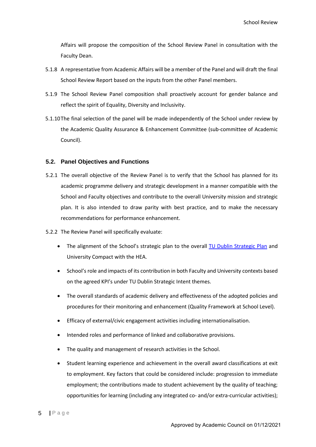Affairs will propose the composition of the School Review Panel in consultation with the Faculty Dean.

- 5.1.8 A representative from Academic Affairs will be a member of the Panel and will draft the final School Review Report based on the inputs from the other Panel members.
- 5.1.9 The School Review Panel composition shall proactively account for gender balance and reflect the spirit of Equality, Diversity and Inclusivity.
- 5.1.10The final selection of the panel will be made independently of the School under review by the Academic Quality Assurance & Enhancement Committee (sub-committee of Academic Council).

#### <span id="page-5-0"></span>**5.2. Panel Objectives and Functions**

- 5.2.1 The overall objective of the Review Panel is to verify that the School has planned for its academic programme delivery and strategic development in a manner compatible with the School and Faculty objectives and contribute to the overall University mission and strategic plan. It is also intended to draw parity with best practice, and to make the necessary recommendations for performance enhancement.
- 5.2.2 The Review Panel will specifically evaluate:
	- The alignment of the School's strategic plan to the overall TU Dublin Strategic Plan and University Compact with the HEA.
	- School's role and impacts of its contribution in both Faculty and University contexts based on the agreed KPI's under TU Dublin Strategic Intent themes.
	- The overall standards of academic delivery and effectiveness of the adopted policies and procedures for their monitoring and enhancement (Quality Framework at School Level).
	- Efficacy of external/civic engagement activities including internationalisation.
	- Intended roles and performance of linked and collaborative provisions.
	- The quality and management of research activities in the School.
	- Student learning experience and achievement in the overall award classifications at exit to employment. Key factors that could be considered include: progression to immediate employment; the contributions made to student achievement by the quality of teaching; opportunities for learning (including any integrated co- and/or extra-curricular activities);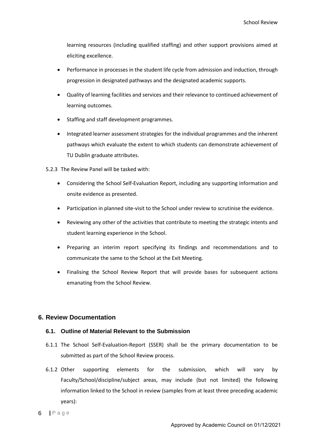learning resources (including qualified staffing) and other support provisions aimed at eliciting excellence.

- Performance in processes in the student life cycle from admission and induction, through progression in designated pathways and the designated academic supports.
- Quality of learning facilities and services and their relevance to continued achievement of learning outcomes.
- Staffing and staff development programmes.
- Integrated learner assessment strategies for the individual programmes and the inherent pathways which evaluate the extent to which students can demonstrate achievement of TU Dublin graduate attributes.
- 5.2.3 The Review Panel will be tasked with:
	- Considering the School Self-Evaluation Report, including any supporting information and onsite evidence as presented.
	- Participation in planned site-visit to the School under review to scrutinise the evidence.
	- Reviewing any other of the activities that contribute to meeting the strategic intents and student learning experience in the School.
	- Preparing an interim report specifying its findings and recommendations and to communicate the same to the School at the Exit Meeting.
	- Finalising the School Review Report that will provide bases for subsequent actions emanating from the School Review.

#### <span id="page-6-0"></span>**6. Review Documentation**

#### <span id="page-6-1"></span>**6.1. Outline of Material Relevant to the Submission**

- 6.1.1 The School Self-Evaluation-Report (SSER) shall be the primary documentation to be submitted as part of the School Review process.
- 6.1.2 Other supporting elements for the submission, which will vary by Faculty/School/discipline/subject areas, may include (but not limited) the following information linked to the School in review (samples from at least three preceding academic years):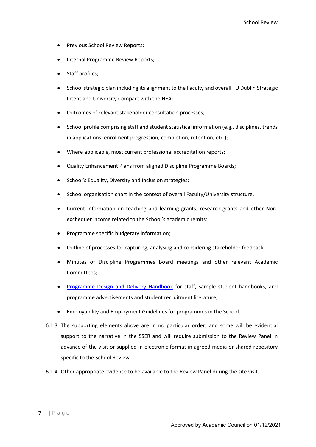- Previous School Review Reports;
- Internal Programme Review Reports;
- Staff profiles;
- School strategic plan including its alignment to the Faculty and overall TU Dublin Strategic Intent and University Compact with the HEA;
- Outcomes of relevant stakeholder consultation processes;
- School profile comprising staff and student statistical information (e.g., disciplines, trends in applications, enrolment progression, completion, retention, etc.);
- Where applicable, most current professional accreditation reports;
- Quality Enhancement Plans from aligned Discipline Programme Boards;
- School's Equality, Diversity and Inclusion strategies;
- School organisation chart in the context of overall Faculty/University structure,
- Current information on teaching and learning grants, research grants and other Nonexchequer income related to the School's academic remits;
- Programme specific budgetary information;
- Outline of processes for capturing, analysing and considering stakeholder feedback;
- Minutes of Discipline Programmes Board meetings and other relevant Academic Committees;
- Programme Design and Delivery Handbook for staff, sample student handbooks, and programme advertisements and student recruitment literature;
- Employability and Employment Guidelines for programmes in the School.
- 6.1.3 The supporting elements above are in no particular order, and some will be evidential support to the narrative in the SSER and will require submission to the Review Panel in advance of the visit or supplied in electronic format in agreed media or shared repository specific to the School Review.
- 6.1.4 Other appropriate evidence to be available to the Review Panel during the site visit.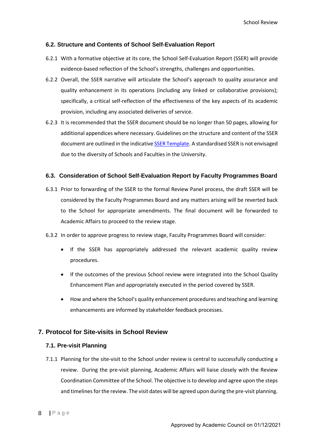#### <span id="page-8-0"></span>**6.2. Structure and Contents of School Self-Evaluation Report**

- 6.2.1 With a formative objective at its core, the School Self-Evaluation Report (SSER) will provide evidence-based reflection of the School's strengths, challenges and opportunities.
- 6.2.2 Overall, the SSER narrative will articulate the School's approach to quality assurance and quality enhancement in its operations (including any linked or collaborative provisions); specifically, a critical self-reflection of the effectiveness of the key aspects of its academic provision, including any associated deliveries of service.
- 6.2.3 It is recommended that the SSER document should be no longer than 50 pages, allowing for additional appendices where necessary. Guidelines on the structure and content of the SSER document are outlined in the indicative SSER Template. A standardised SSER is not envisaged due to the diversity of Schools and Faculties in the University.

#### <span id="page-8-1"></span>**6.3. Consideration of School Self-Evaluation Report by Faculty Programmes Board**

- 6.3.1 Prior to forwarding of the SSER to the formal Review Panel process, the draft SSER will be considered by the Faculty Programmes Board and any matters arising will be reverted back to the School for appropriate amendments. The final document will be forwarded to Academic Affairs to proceed to the review stage.
- 6.3.2 In order to approve progress to review stage, Faculty Programmes Board will consider:
	- If the SSER has appropriately addressed the relevant academic quality review procedures.
	- If the outcomes of the previous School review were integrated into the School Quality Enhancement Plan and appropriately executed in the period covered by SSER.
	- How and where the School's quality enhancement procedures and teaching and learning enhancements are informed by stakeholder feedback processes.

#### <span id="page-8-2"></span>**7. Protocol for Site-visits in School Review**

#### <span id="page-8-3"></span>**7.1. Pre-visit Planning**

7.1.1 Planning for the site-visit to the School under review is central to successfully conducting a review. During the pre-visit planning, Academic Affairs will liaise closely with the Review Coordination Committee of the School. The objective is to develop and agree upon the steps and timelines for the review. The visit dates will be agreed upon during the pre-visit planning.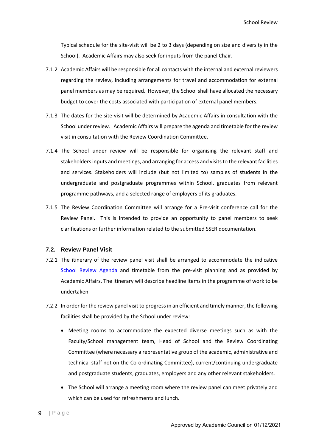Typical schedule for the site-visit will be 2 to 3 days (depending on size and diversity in the School). Academic Affairs may also seek for inputs from the panel Chair.

- 7.1.2 Academic Affairs will be responsible for all contacts with the internal and external reviewers regarding the review, including arrangements for travel and accommodation for external panel members as may be required. However, the School shall have allocated the necessary budget to cover the costs associated with participation of external panel members.
- 7.1.3 The dates for the site-visit will be determined by Academic Affairs in consultation with the School under review. Academic Affairs will prepare the agenda and timetable for the review visit in consultation with the Review Coordination Committee.
- 7.1.4 The School under review will be responsible for organising the relevant staff and stakeholders inputs and meetings, and arranging for access and visits to the relevant facilities and services. Stakeholders will include (but not limited to) samples of students in the undergraduate and postgraduate programmes within School, graduates from relevant programme pathways, and a selected range of employers of its graduates.
- 7.1.5 The Review Coordination Committee will arrange for a Pre-visit conference call for the Review Panel. This is intended to provide an opportunity to panel members to seek clarifications or further information related to the submitted SSER documentation.

#### <span id="page-9-0"></span>**7.2. Review Panel Visit**

- 7.2.1 The itinerary of the review panel visit shall be arranged to accommodate the indicative School Review Agenda and timetable from the pre-visit planning and as provided by Academic Affairs. The itinerary will describe headline items in the programme of work to be undertaken.
- 7.2.2 In order for the review panel visit to progress in an efficient and timely manner, the following facilities shall be provided by the School under review:
	- Meeting rooms to accommodate the expected diverse meetings such as with the Faculty/School management team, Head of School and the Review Coordinating Committee (where necessary a representative group of the academic, administrative and technical staff not on the Co-ordinating Committee), current/continuing undergraduate and postgraduate students, graduates, employers and any other relevant stakeholders.
	- The School will arrange a meeting room where the review panel can meet privately and which can be used for refreshments and lunch.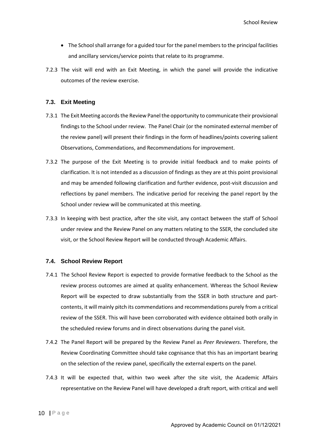- The School shall arrange for a guided tour for the panel members to the principal facilities and ancillary services/service points that relate to its programme.
- 7.2.3 The visit will end with an Exit Meeting, in which the panel will provide the indicative outcomes of the review exercise.

#### <span id="page-10-0"></span>**7.3. Exit Meeting**

- 7.3.1 The Exit Meeting accords the Review Panel the opportunity to communicate their provisional findings to the School under review. The Panel Chair (or the nominated external member of the review panel) will present their findings in the form of headlines/points covering salient Observations, Commendations, and Recommendations for improvement.
- 7.3.2 The purpose of the Exit Meeting is to provide initial feedback and to make points of clarification. It is not intended as a discussion of findings as they are at this point provisional and may be amended following clarification and further evidence, post-visit discussion and reflections by panel members. The indicative period for receiving the panel report by the School under review will be communicated at this meeting.
- 7.3.3 In keeping with best practice, after the site visit, any contact between the staff of School under review and the Review Panel on any matters relating to the SSER, the concluded site visit, or the School Review Report will be conducted through Academic Affairs.

#### <span id="page-10-1"></span>**7.4. School Review Report**

- 7.4.1 The School Review Report is expected to provide formative feedback to the School as the review process outcomes are aimed at quality enhancement. Whereas the School Review Report will be expected to draw substantially from the SSER in both structure and partcontents, it will mainly pitch its commendations and recommendations purely from a critical review of the SSER. This will have been corroborated with evidence obtained both orally in the scheduled review forums and in direct observations during the panel visit.
- 7.4.2 The Panel Report will be prepared by the Review Panel as *Peer Reviewers*. Therefore, the Review Coordinating Committee should take cognisance that this has an important bearing on the selection of the review panel, specifically the external experts on the panel.
- 7.4.3 It will be expected that, within two week after the site visit, the Academic Affairs representative on the Review Panel will have developed a draft report, with critical and well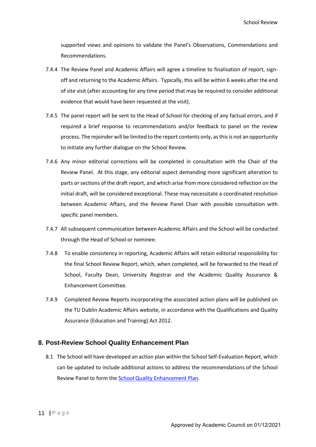supported views and opinions to validate the Panel's Observations, Commendations and Recommendations.

- 7.4.4 The Review Panel and Academic Affairs will agree a timeline to finalisation of report, signoff and returning to the Academic Affairs. Typically, this will be within 6 weeks after the end of site visit (after accounting for any time period that may be required to consider additional evidence that would have been requested at the visit).
- 7.4.5 The panel report will be sent to the Head of School for checking of any factual errors, and if required a brief response to recommendations and/or feedback to panel on the review process. The rejoinder will be limited to the report contents only, as thisis not an opportunity to initiate any further dialogue on the School Review.
- 7.4.6 Any minor editorial corrections will be completed in consultation with the Chair of the Review Panel. At this stage, any editorial aspect demanding more significant alteration to parts or sections of the draft report, and which arise from more considered reflection on the initial draft, will be considered exceptional. These may necessitate a coordinated resolution between Academic Affairs, and the Review Panel Chair with possible consultation with specific panel members.
- 7.4.7 All subsequent communication between Academic Affairs and the School will be conducted through the Head of School or nominee.
- 7.4.8 To enable consistency in reporting, Academic Affairs will retain editorial responsibility for the final School Review Report, which, when completed, will be forwarded to the Head of School, Faculty Dean, University Registrar and the Academic Quality Assurance & Enhancement Committee.
- 7.4.9 Completed Review Reports incorporating the associated action plans will be published on the TU Dublin Academic Affairs website, in accordance with the Qualifications and Quality Assurance (Education and Training) Act 2012.

#### <span id="page-11-0"></span>**8. Post-Review School Quality Enhancement Plan**

8.1 The School will have developed an action plan within the School Self-Evaluation Report, which can be updated to include additional actions to address the recommendations of the School Review Panel to form the School Quality Enhancement Plan.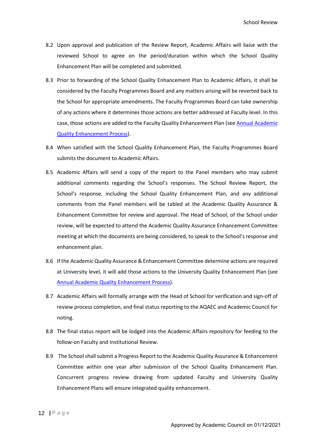- 8.2 Upon approval and publication of the Review Report, Academic Affairs will liaise with the reviewed School to agree on the period/duration within which the School Quality Enhancement Plan will be completed and submitted.
- 8.3 Prior to forwarding of the School Quality Enhancement Plan to Academic Affairs, it shall be considered by the Faculty Programmes Board and any matters arising will be reverted back to the School for appropriate amendments. The Faculty Programmes Board can take ownership of any actions where it determines those actions are better addressed at Faculty level. In this case, those actions are added to the Faculty Quality Enhancement Plan (see Annual Academic Quality Enhancement Process).
- 8.4 When satisfied with the School Quality Enhancement Plan, the Faculty Programmes Board submits the document to Academic Affairs.
- 8.5 Academic Affairs will send a copy of the report to the Panel members who may submit additional comments regarding the School's responses. The School Review Report, the School's response, including the School Quality Enhancement Plan, and any additional comments from the Panel members will be tabled at the Academic Quality Assurance & Enhancement Committee for review and approval. The Head of School, of the School under review, will be expected to attend the Academic Quality Assurance Enhancement Committee meeting at which the documents are being considered, to speak to the School's response and enhancement plan.
- 8.6 If the Academic Quality Assurance & Enhancement Committee determine actions are required at University level, it will add those actions to the University Quality Enhancement Plan (see Annual Academic Quality Enhancement Process).
- 8.7 Academic Affairs will formally arrange with the Head of School for verification and sign-off of review process completion, and final status reporting to the AQAEC and Academic Council for noting.
- 8.8 The final status report will be lodged into the Academic Affairs repository for feeding to the follow-on Faculty and Institutional Review.
- 8.9 The School shall submit a Progress Report to the Academic Quality Assurance & Enhancement Committee within one year after submission of the School Quality Enhancement Plan. Concurrent progress review drawing from updated Faculty and University Quality Enhancement Plans will ensure integrated quality enhancement.